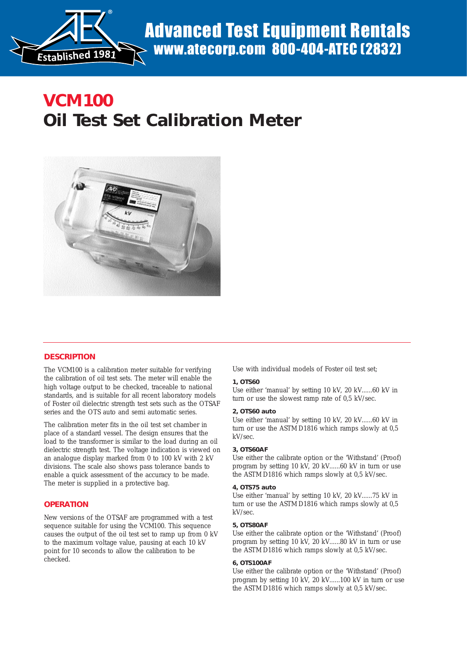

 $\mathcal{O}_\mathcal{A}$  of  $\mathcal{O}_\mathcal{A}$  and  $\mathcal{O}_\mathcal{A}$  and  $\mathcal{O}_\mathcal{A}$  and  $\mathcal{O}_\mathcal{A}$  and  $\mathcal{O}_\mathcal{A}$  and  $\mathcal{O}_\mathcal{A}$ 

# **VCM100 Oil Test Set Calibration Meter**



## **DESCRIPTION**

The VCM100 is a calibration meter suitable for verifying the calibration of oil test sets. The meter will enable the high voltage output to be checked, traceable to national standards, and is suitable for all recent laboratory models of Foster oil dielectric strength test sets such as the OTSAF series and the OTS auto and semi automatic series.

The calibration meter fits in the oil test set chamber in place of a standard vessel. The design ensures that the load to the transformer is similar to the load during an oil dielectric strength test. The voltage indication is viewed on an analogue display marked from 0 to 100 kV with 2 kV divisions. The scale also shows pass tolerance bands to enable a quick assessment of the accuracy to be made. The meter is supplied in a protective bag.

## **OPERATION**

New versions of the OTSAF are programmed with a test sequence suitable for using the VCM100. This sequence causes the output of the oil test set to ramp up from 0 kV to the maximum voltage value, pausing at each 10 kV point for 10 seconds to allow the calibration to be checked.

Use with individual models of Foster oil test set;

#### **1, OTS60**

Use either 'manual' by setting 10 kV, 20 kV......60 kV in turn or use the slowest ramp rate of 0,5 kV/sec.

#### **2, OTS60 auto**

Use either 'manual' by setting 10 kV, 20 kV......60 kV in turn or use the ASTM D1816 which ramps slowly at 0,5 kV/sec.

#### **3, OTS60AF**

Use either the calibrate option or the 'Withstand' (Proof) program by setting 10 kV, 20 kV......60 kV in turn or use the ASTM D1816 which ramps slowly at 0,5 kV/sec.

#### **4, OTS75 auto**

Use either 'manual' by setting 10 kV, 20 kV......75 kV in turn or use the ASTM D1816 which ramps slowly at 0,5 kV/sec.

#### **5, OTS80AF**

Use either the calibrate option or the 'Withstand' (Proof) program by setting 10 kV, 20 kV......80 kV in turn or use the ASTM D1816 which ramps slowly at 0,5 kV/sec.

#### **6, OTS100AF**

Use either the calibrate option or the 'Withstand' (Proof) program by setting 10 kV, 20 kV......100 kV in turn or use the ASTM D1816 which ramps slowly at 0,5 kV/sec.